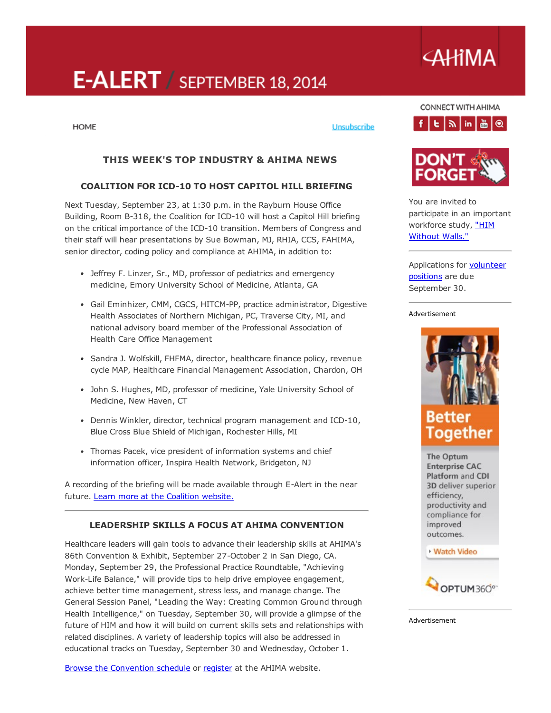# E-ALERT / SEPTEMBER 18, 2014

#### **HOME**

#### Unsubscribe

## THIS WEEK'S TOP INDUSTRY & AHIMA NEWS

#### COALITION FOR ICD-10 TO HOST CAPITOL HILL BRIEFING

Next Tuesday, September 23, at 1:30 p.m. in the Rayburn House Office Building, Room B-318, the Coalition for ICD-10 will host a Capitol Hill briefing on the critical importance of the ICD-10 transition. Members of Congress and their staff will hear presentations by Sue Bowman, MJ, RHIA, CCS, FAHIMA, senior director, coding policy and compliance at AHIMA, in addition to:

- Jeffrey F. Linzer, Sr., MD, professor of pediatrics and emergency medicine, Emory University School of Medicine, Atlanta, GA
- Gail Eminhizer, CMM, CGCS, HITCM-PP, practice administrator, Digestive Health Associates of Northern Michigan, PC, Traverse City, MI, and national advisory board member of the Professional Association of Health Care Office Management
- Sandra J. Wolfskill, FHFMA, director, healthcare finance policy, revenue cycle MAP, Healthcare Financial Management Association, Chardon, OH
- John S. Hughes, MD, professor of medicine, Yale University School of Medicine, New Haven, CT
- Dennis Winkler, director, technical program management and ICD-10, Blue Cross Blue Shield of Michigan, Rochester Hills, MI
- Thomas Pacek, vice president of information systems and chief information officer, Inspira Health Network, Bridgeton, NJ

A recording of the briefing will be made available through E-Alert in the near future. Learn more at the [Coalition](http://coalitionforicd10.org/2014/09/16/capitol-hill-briefing/) website.

#### LEADERSHIP SKILLS A FOCUS AT AHIMA CONVENTION

Healthcare leaders will gain tools to advance their leadership skills at AHIMA's 86th Convention & Exhibit, September 27-October 2 in San Diego, CA. Monday, September 29, the Professional Practice Roundtable, "Achieving WorkLife Balance," will provide tips to help drive employee engagement, achieve better time management, stress less, and manage change. The General Session Panel, "Leading the Way: Creating Common Ground through Health Intelligence," on Tuesday, September 30, will provide a glimpse of the future of HIM and how it will build on current skills sets and relationships with related disciplines. A variety of leadership topics will also be addressed in educational tracks on Tuesday, September 30 and Wednesday, October 1.

Browse the [Convention](https://ahima.confex.com/ahima/86am/webprogram/start.html) schedule or [register](http://www.ahima.org/convention/registration) at the AHIMA website.

# CONNECT WITH AHIMA  $f|E|\gg |in|\triangle|Q|$

**AHIMA** 





You are invited to participate in an important [workforce](https://ahimastudy.questionpro.com/) study, "HIM Without Walls."

[Applications](http://engage.ahima.org/volunteer/volunteeropportunities) for **volunteer** positions are due September 30.

#### Advertisement



The Optum **Enterprise CAC** Platform and CDI 3D deliver superior efficiency, productivity and compliance for improved outcomes.

**Watch Video** 



Advertisement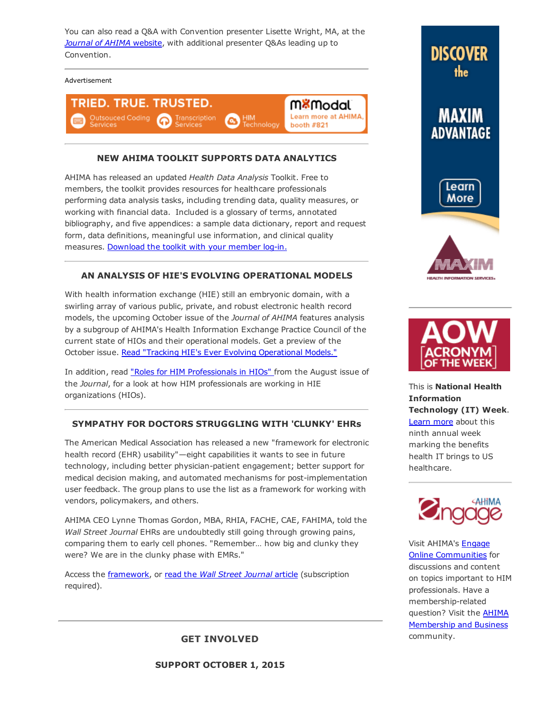You can also read a Q&A with Convention presenter Lisette Wright, MA, at the *Journal of AHIMA* [website](http://journal.ahima.org/?p=10139), with additional presenter Q&As leading up to Convention.

#### Advertisement



## NEW AHIMA TOOLKIT SUPPORTS DATA ANALYTICS

AHIMA has released an updated *Health Data Analysis* Toolkit. Free to members, the toolkit provides resources for healthcare professionals performing data analysis tasks, including trending data, quality measures, or working with financial data. Included is a glossary of terms, annotated bibliography, and five appendices: a sample data dictionary, report and request form, data definitions, meaningful use information, and clinical quality measures. [Download](http://library.ahima.org/xpedio/groups/secure/documents/ahima/bok1_050751.pdf) the toolkit with your member log-in.

#### AN ANALYSIS OF HIE'S EVOLVING OPERATIONAL MODELS

With health information exchange (HIE) still an embryonic domain, with a swirling array of various public, private, and robust electronic health record models, the upcoming October issue of the *Journal of AHIMA* features analysis by a subgroup of AHIMA's Health Information Exchange Practice Council of the current state of HIOs and their operational models. Get a preview of the October issue. Read "Tracking HIE's Ever Evolving [Operational](http://library.ahima.org/xpedio/groups/public/documents/ahima/bok1_050760.hcsp?dDocName=bok1_050760) Models."

In addition, read "Roles for HIM [Professionals](http://library.ahima.org/xpedio/groups/public/documents/ahima/bok1_050726.hcsp?dDocName=bok1_050726) in HIOs" from the August issue of the *Journal*, for a look at how HIM professionals are working in HIE organizations (HIOs).

#### SYMPATHY FOR DOCTORS STRUGGLING WITH 'CLUNKY' EHRs

The American Medical Association has released a new "framework for electronic health record (EHR) usability"—eight capabilities it wants to see in future technology, including better physician-patient engagement; better support for medical decision making, and automated mechanisms for post-implementation user feedback. The group plans to use the list as a framework for working with vendors, policymakers, and others.

AHIMA CEO Lynne Thomas Gordon, MBA, RHIA, FACHE, CAE, FAHIMA, told the *Wall Street Journal* EHRs are undoubtedly still going through growing pains, comparing them to early cell phones. "Remember… how big and clunky they were? We are in the clunky phase with EMRs."

Access the [framework,](http://www.ama-assn.org/ama/pub/ama-wire/ama-wire/post/8-top-challenges-solutions-making-ehrs-usable) or read the *Wall Street [Journal](http://online.wsj.com/articles/ama-urges-overhaul-of-electronic-records-1410840063?tesla=y&mg=reno64-wsj)* article (subscription required).



**DISCOVER** 

the





This is National Health Information Technology (IT) Week.

[Learn](http://www.healthitweek.org/) more about this ninth annual week marking the benefits health IT brings to US healthcare.



Visit AHIMA's Engage **Online [Communities](http://engage.ahima.org/)** for discussions and content on topics important to HIM professionals. Have a membership-related question? Visit the AHIMA [Membership](http://engage.ahima.org/communities/viewcommunities/groupdetails/?CommunityKey=93941d81-3fb0-4301-8fd0-81f6bce5889d) and Business community.

GET INVOLVED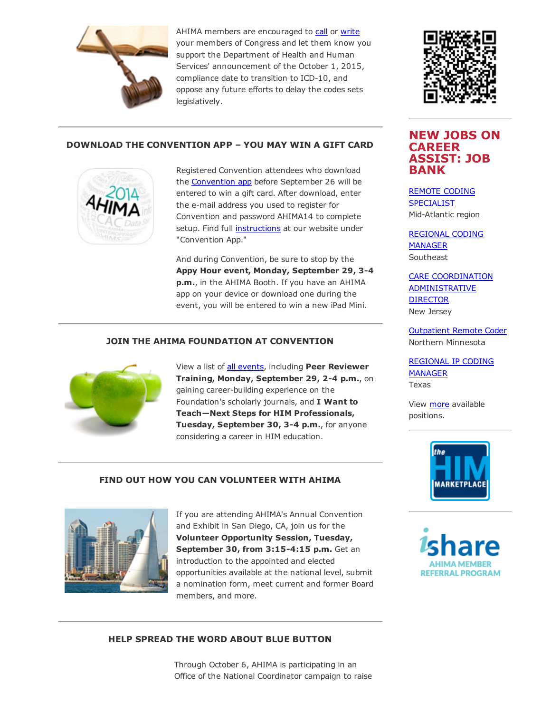

AHIMA members are encouraged to [call](http://capwiz.com/ahima/callalert/index.tt?alertid=63307796) or [write](http://capwiz.com/ahima/issues/alert/?alertid=63175786) your members of Congress and let them know you support the Department of Health and Human Services' announcement of the October 1, 2015, compliance date to transition to ICD-10, and oppose any future efforts to delay the codes sets legislatively.



## DOWNLOAD THE CONVENTION APP – YOU MAY WIN A GIFT CARD



Registered Convention attendees who download the **[Convention](http://ddut.ch/ahimacon14) app** before September 26 will be entered to win a gift card. After download, enter the e-mail address you used to register for Convention and password AHIMA14 to complete setup. Find full [instructions](http://www.ahima.org/convention/geninfo?tabid=online) at our website under "Convention App."

And during Convention, be sure to stop by the Appy Hour event, Monday, September 29, 3-4 p.m., in the AHIMA Booth. If you have an AHIMA app on your device or download one during the event, you will be entered to win a new iPad Mini.

## JOIN THE AHIMA FOUNDATION AT CONVENTION



View a list of **all [events](http://www.ahimafoundation.org/about/FoundationEvents.aspx)**, including Peer Reviewer Training, Monday, September 29, 2-4 p.m., on gaining career-building experience on the Foundation's scholarly journals, and I Want to Teach—Next Steps for HIM Professionals, Tuesday, September 30, 3-4 p.m., for anyone considering a career in HIM education.

#### FIND OUT HOW YOU CAN VOLUNTEER WITH AHIMA



If you are attending AHIMA's Annual Convention and Exhibit in San Diego, CA, join us for the Volunteer Opportunity Session, Tuesday, September 30, from 3:15-4:15 p.m. Get an introduction to the appointed and elected opportunities available at the national level, submit a nomination form, meet current and former Board members, and more.

# NEW JOBS ON CAREER ASSIST: JOB BANK REMOTE CODING

[SPECIALIST](http://careerassist.ahima.org/jobseeker/job/12251278/) Mid-Atlantic region

[REGIONAL](http://careerassist.ahima.org/jobseeker/job/19118014/) CODING MANAGER **Southeast** 

CARE COORDINATION [ADMINISTRATIVE](http://careerassist.ahima.org/jobseeker/job/19117902/) **DIRECTOR** New Jersey

[Outpatient](http://careerassist.ahima.org/jobseeker/job/19992733/) Remote Coder Northern Minnesota

[REGIONAL](http://careerassist.ahima.org/jobseeker/job/19117962/) IP CODING MANAGER Texas

View [more](http://careerassist.ahima.org/home/home.cfm?site_id=681) available positions.



**REFERRAL PROGRAM** 

#### HELP SPREAD THE WORD ABOUT BLUE BUTTON

Through October 6, AHIMA is participating in an Office of the National Coordinator campaign to raise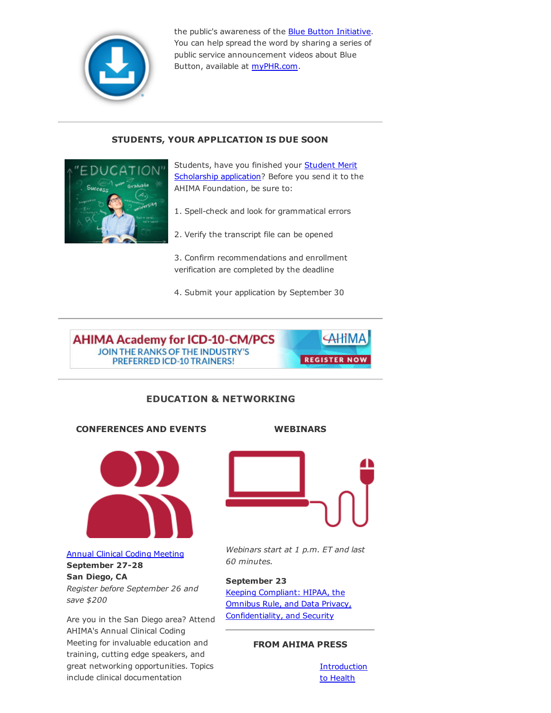

the public's awareness of the Blue Button [Initiative](http://www.healthit.gov/patients-families/blue-button/about-blue-button). You can help spread the word by sharing a series of public service announcement videos about Blue Button, available at [myPHR.com](http://myphr.com/Tools/phrvideos.aspx).

## STUDENTS, YOUR APPLICATION IS DUE SOON



Students, have you finished your **Student Merit** Scholarship [application?](http://www.ahimafoundation.org/education/MeritScholarships.aspx) Before you send it to the AHIMA Foundation, be sure to:

- 1. Spell-check and look for grammatical errors
- 2. Verify the transcript file can be opened

3. Confirm recommendations and enrollment verification are completed by the deadline

4. Submit your application by September 30



## EDUCATION & NETWORKING

CONFERENCES AND EVENTS



Annual Clinical Coding [Meeting](http://www.ahima.org/events/2014Sept-clinicalcoding)

September 27-28 San Diego, CA *Register before September 26 and save \$200*

Are you in the San Diego area? Attend AHIMA's Annual Clinical Coding Meeting for invaluable education and training, cutting edge speakers, and great networking opportunities. Topics include clinical documentation



WEBINARS

*Webinars start at 1 p.m. ET and last 60 minutes.*

## September 23

Keeping Compliant: HIPAA, the Omnibus Rule, and Data Privacy, [Confidentiality,](https://www.ahimastore.org/ProductDetailAudioSeminars.aspx?ProductID=17280&MXCode=MX9112) and Security

## FROM AHIMA PRESS

**[Introduction](https://www.ahimastore.org/ProductDetailBooks.aspx?ProductID=15302&MXCode=MX9112)** to Health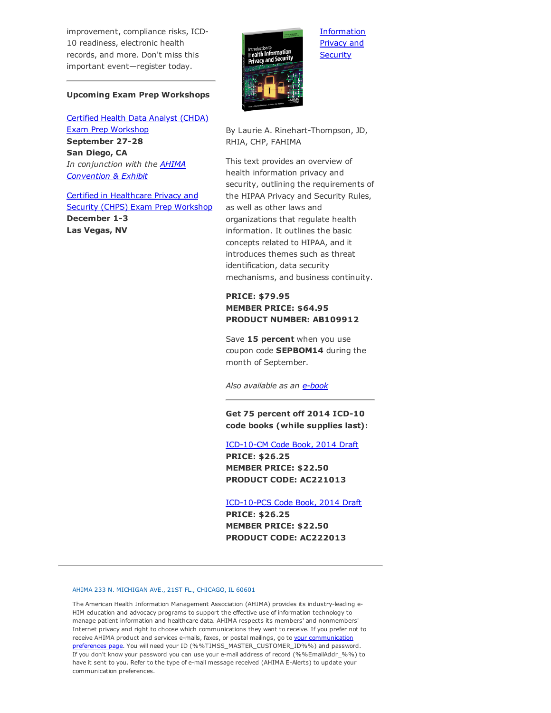improvement, compliance risks, ICD-10 readiness, electronic health records, and more. Don't miss this important event—register today.

#### Upcoming Exam Prep Workshops

Certified Health Data Analyst (CHDA) Exam Prep [Workshop](http://www.ahima.org/events/2014Sept-CHDA-sandiego) September 27-28 San Diego, CA *In [conjunction](http://www.ahima.org/convention) with the AHIMA Convention & Exhibit*

Certified in [Healthcare](http://www.ahima.org/events/2014dec-chps-vegas) Privacy and Security (CHPS) Exam Prep Workshop December 1-3 Las Vegas, NV



By Laurie A. Rinehart-Thompson, JD, RHIA, CHP, FAHIMA

**[Information](https://www.ahimastore.org/ProductDetailBooks.aspx?ProductID=15302&MXCode=MX9112)** Privacy and **Security** 

This text provides an overview of health information privacy and security, outlining the requirements of the HIPAA Privacy and Security Rules, as well as other laws and organizations that regulate health information. It outlines the basic concepts related to HIPAA, and it introduces themes such as threat identification, data security mechanisms, and business continuity.

## PRICE: \$79.95 MEMBER PRICE: \$64.95 PRODUCT NUMBER: AB109912

Save 15 percent when you use coupon code SEPBOM14 during the month of September.

*Also available as an [ebook](https://www.ahimastore.org/ProductDetailBooks.aspx?ProductID=16367&MXCode=MX9112)*

Get 75 percent off 2014 ICD-10 code books (while supplies last):

#### ICD-10-CM Code Book, 2014 Draft

PRICE: \$26.25 MEMBER PRICE: \$22.50 PRODUCT CODE: AC221013

ICD-10-PCS Code Book, 2014 Draft

PRICE: \$26.25 MEMBER PRICE: \$22.50 PRODUCT CODE: AC222013

#### AHIMA 233 N. MICHIGAN AVE., 21ST FL., CHICAGO, IL 60601

The American Health Information Management Association (AHIMA) provides its industryleading e-HIM education and advocacy programs to support the effective use of information technology to manage patient information and healthcare data. AHIMA respects its members' and nonmembers' Internet privacy and right to choose which communications they want to receive. If you prefer not to receive AHIMA product and services e-mails, faxes, or postal mailings, go to your communication preferences page. You will need your ID [\(%%TIMSS\\_MASTER\\_CUSTOMER\\_ID%%\)](https://secure.ahima.org/profile/CommunicationPreferences.aspx) and password. If you don't know your password you can use your email address of record (%%EmailAddr\_%%) to have it sent to you. Refer to the type of e-mail message received (AHIMA E-Alerts) to update your communication preferences.